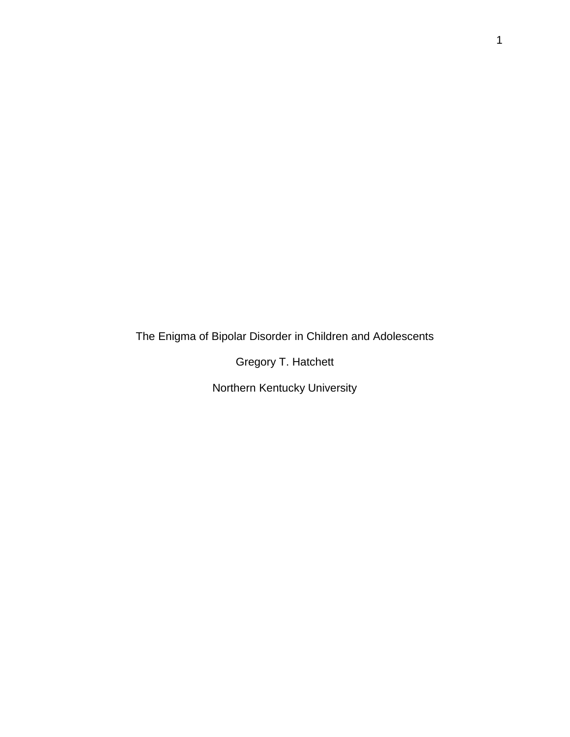The Enigma of Bipolar Disorder in Children and Adolescents

Gregory T. Hatchett

Northern Kentucky University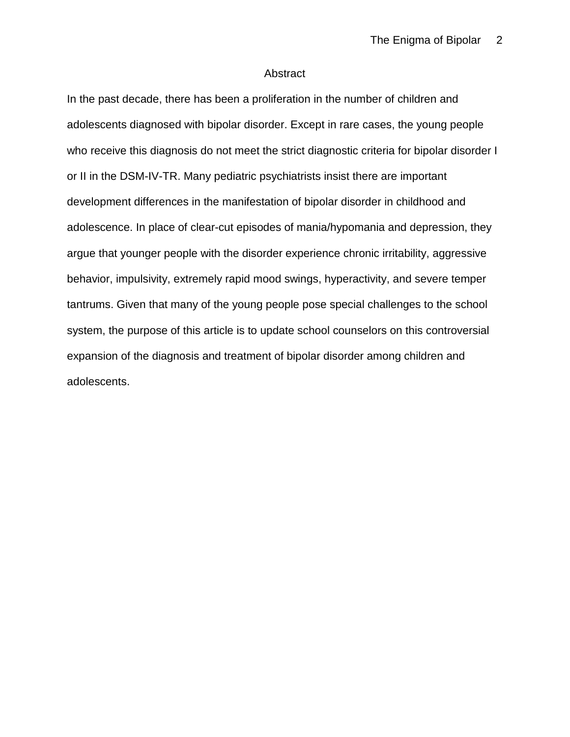### Abstract

In the past decade, there has been a proliferation in the number of children and adolescents diagnosed with bipolar disorder. Except in rare cases, the young people who receive this diagnosis do not meet the strict diagnostic criteria for bipolar disorder I or II in the DSM-IV-TR. Many pediatric psychiatrists insist there are important development differences in the manifestation of bipolar disorder in childhood and adolescence. In place of clear-cut episodes of mania/hypomania and depression, they argue that younger people with the disorder experience chronic irritability, aggressive behavior, impulsivity, extremely rapid mood swings, hyperactivity, and severe temper tantrums. Given that many of the young people pose special challenges to the school system, the purpose of this article is to update school counselors on this controversial expansion of the diagnosis and treatment of bipolar disorder among children and adolescents.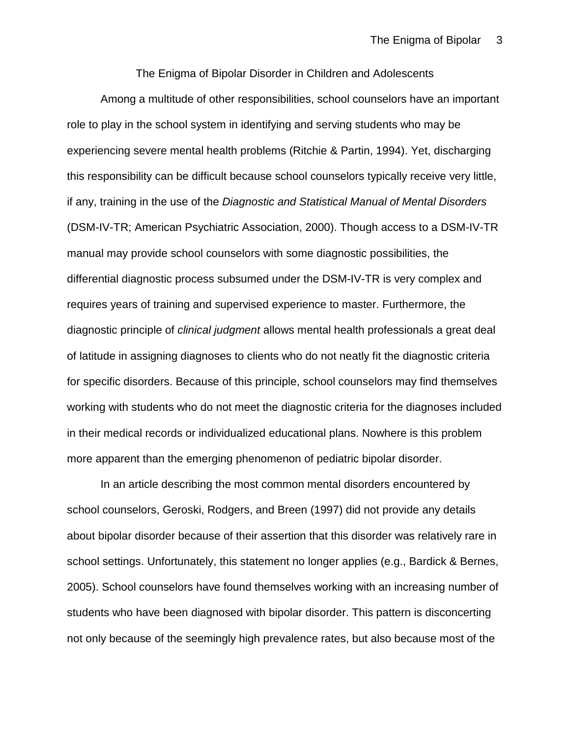The Enigma of Bipolar Disorder in Children and Adolescents

Among a multitude of other responsibilities, school counselors have an important role to play in the school system in identifying and serving students who may be experiencing severe mental health problems (Ritchie & Partin, 1994). Yet, discharging this responsibility can be difficult because school counselors typically receive very little, if any, training in the use of the *Diagnostic and Statistical Manual of Mental Disorders*  (DSM-IV-TR; American Psychiatric Association, 2000). Though access to a DSM-IV-TR manual may provide school counselors with some diagnostic possibilities, the differential diagnostic process subsumed under the DSM-IV-TR is very complex and requires years of training and supervised experience to master. Furthermore, the diagnostic principle of *clinical judgment* allows mental health professionals a great deal of latitude in assigning diagnoses to clients who do not neatly fit the diagnostic criteria for specific disorders. Because of this principle, school counselors may find themselves working with students who do not meet the diagnostic criteria for the diagnoses included in their medical records or individualized educational plans. Nowhere is this problem more apparent than the emerging phenomenon of pediatric bipolar disorder.

In an article describing the most common mental disorders encountered by school counselors, Geroski, Rodgers, and Breen (1997) did not provide any details about bipolar disorder because of their assertion that this disorder was relatively rare in school settings. Unfortunately, this statement no longer applies (e.g., Bardick & Bernes, 2005). School counselors have found themselves working with an increasing number of students who have been diagnosed with bipolar disorder. This pattern is disconcerting not only because of the seemingly high prevalence rates, but also because most of the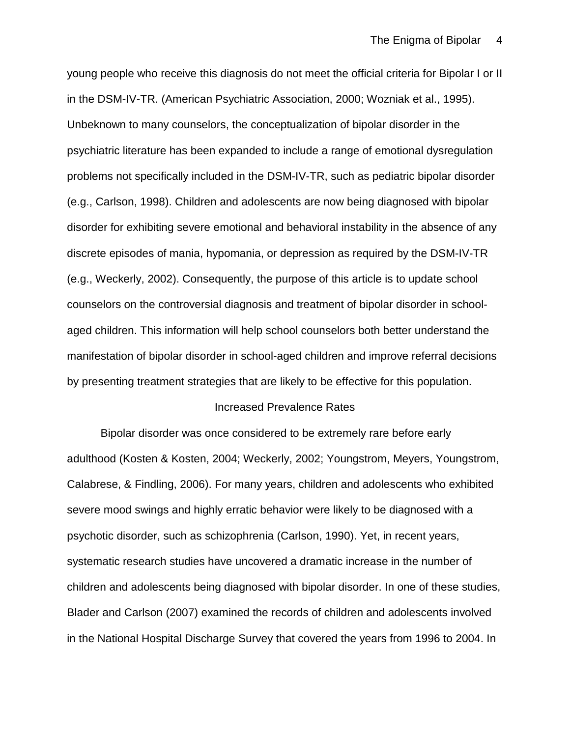young people who receive this diagnosis do not meet the official criteria for Bipolar I or II in the DSM-IV-TR. (American Psychiatric Association, 2000; Wozniak et al., 1995). Unbeknown to many counselors, the conceptualization of bipolar disorder in the psychiatric literature has been expanded to include a range of emotional dysregulation problems not specifically included in the DSM-IV-TR, such as pediatric bipolar disorder (e.g., Carlson, 1998). Children and adolescents are now being diagnosed with bipolar disorder for exhibiting severe emotional and behavioral instability in the absence of any discrete episodes of mania, hypomania, or depression as required by the DSM-IV-TR (e.g., Weckerly, 2002). Consequently, the purpose of this article is to update school counselors on the controversial diagnosis and treatment of bipolar disorder in schoolaged children. This information will help school counselors both better understand the manifestation of bipolar disorder in school-aged children and improve referral decisions by presenting treatment strategies that are likely to be effective for this population.

#### Increased Prevalence Rates

Bipolar disorder was once considered to be extremely rare before early adulthood (Kosten & Kosten, 2004; Weckerly, 2002; Youngstrom, Meyers, Youngstrom, Calabrese, & Findling, 2006). For many years, children and adolescents who exhibited severe mood swings and highly erratic behavior were likely to be diagnosed with a psychotic disorder, such as schizophrenia (Carlson, 1990). Yet, in recent years, systematic research studies have uncovered a dramatic increase in the number of children and adolescents being diagnosed with bipolar disorder. In one of these studies, Blader and Carlson (2007) examined the records of children and adolescents involved in the National Hospital Discharge Survey that covered the years from 1996 to 2004. In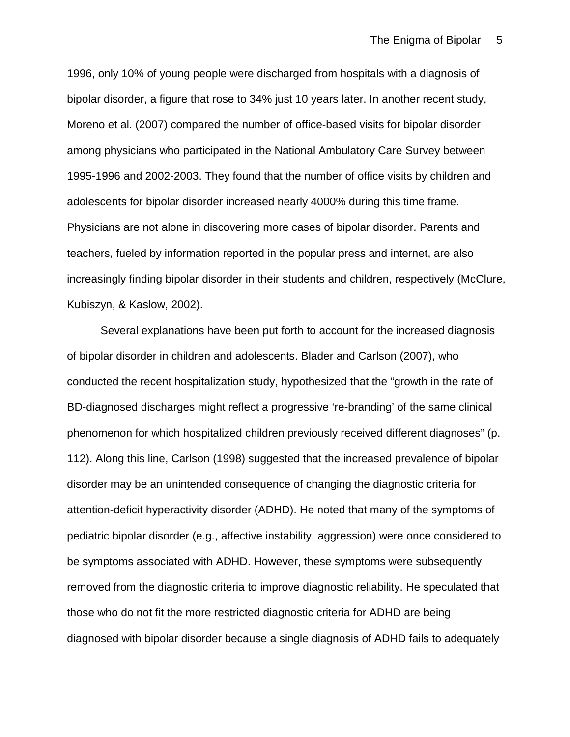1996, only 10% of young people were discharged from hospitals with a diagnosis of bipolar disorder, a figure that rose to 34% just 10 years later. In another recent study, Moreno et al. (2007) compared the number of office-based visits for bipolar disorder among physicians who participated in the National Ambulatory Care Survey between 1995-1996 and 2002-2003. They found that the number of office visits by children and adolescents for bipolar disorder increased nearly 4000% during this time frame. Physicians are not alone in discovering more cases of bipolar disorder. Parents and teachers, fueled by information reported in the popular press and internet, are also increasingly finding bipolar disorder in their students and children, respectively (McClure, Kubiszyn, & Kaslow, 2002).

Several explanations have been put forth to account for the increased diagnosis of bipolar disorder in children and adolescents. Blader and Carlson (2007), who conducted the recent hospitalization study, hypothesized that the "growth in the rate of BD-diagnosed discharges might reflect a progressive 're-branding' of the same clinical phenomenon for which hospitalized children previously received different diagnoses" (p. 112). Along this line, Carlson (1998) suggested that the increased prevalence of bipolar disorder may be an unintended consequence of changing the diagnostic criteria for attention-deficit hyperactivity disorder (ADHD). He noted that many of the symptoms of pediatric bipolar disorder (e.g., affective instability, aggression) were once considered to be symptoms associated with ADHD. However, these symptoms were subsequently removed from the diagnostic criteria to improve diagnostic reliability. He speculated that those who do not fit the more restricted diagnostic criteria for ADHD are being diagnosed with bipolar disorder because a single diagnosis of ADHD fails to adequately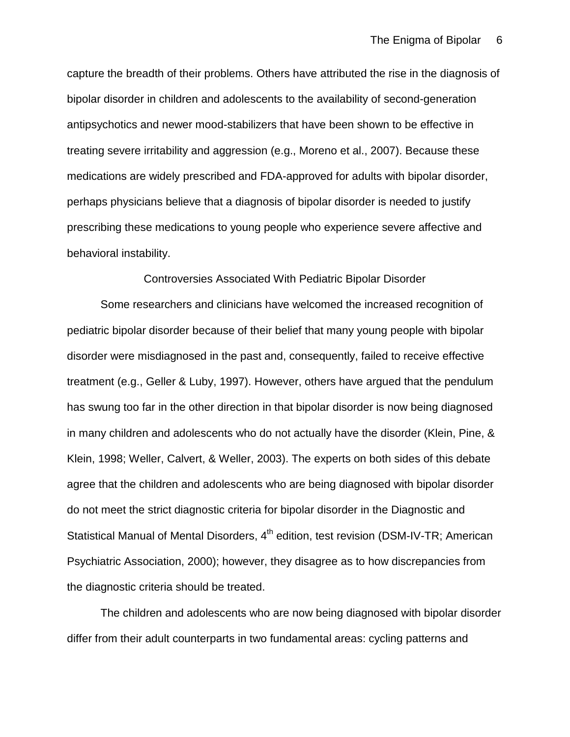capture the breadth of their problems. Others have attributed the rise in the diagnosis of bipolar disorder in children and adolescents to the availability of second-generation antipsychotics and newer mood-stabilizers that have been shown to be effective in treating severe irritability and aggression (e.g., Moreno et al., 2007). Because these medications are widely prescribed and FDA-approved for adults with bipolar disorder, perhaps physicians believe that a diagnosis of bipolar disorder is needed to justify prescribing these medications to young people who experience severe affective and behavioral instability.

### Controversies Associated With Pediatric Bipolar Disorder

Some researchers and clinicians have welcomed the increased recognition of pediatric bipolar disorder because of their belief that many young people with bipolar disorder were misdiagnosed in the past and, consequently, failed to receive effective treatment (e.g., Geller & Luby, 1997). However, others have argued that the pendulum has swung too far in the other direction in that bipolar disorder is now being diagnosed in many children and adolescents who do not actually have the disorder (Klein, Pine, & Klein, 1998; Weller, Calvert, & Weller, 2003). The experts on both sides of this debate agree that the children and adolescents who are being diagnosed with bipolar disorder do not meet the strict diagnostic criteria for bipolar disorder in the Diagnostic and Statistical Manual of Mental Disorders, 4<sup>th</sup> edition, test revision (DSM-IV-TR; American Psychiatric Association, 2000); however, they disagree as to how discrepancies from the diagnostic criteria should be treated.

The children and adolescents who are now being diagnosed with bipolar disorder differ from their adult counterparts in two fundamental areas: cycling patterns and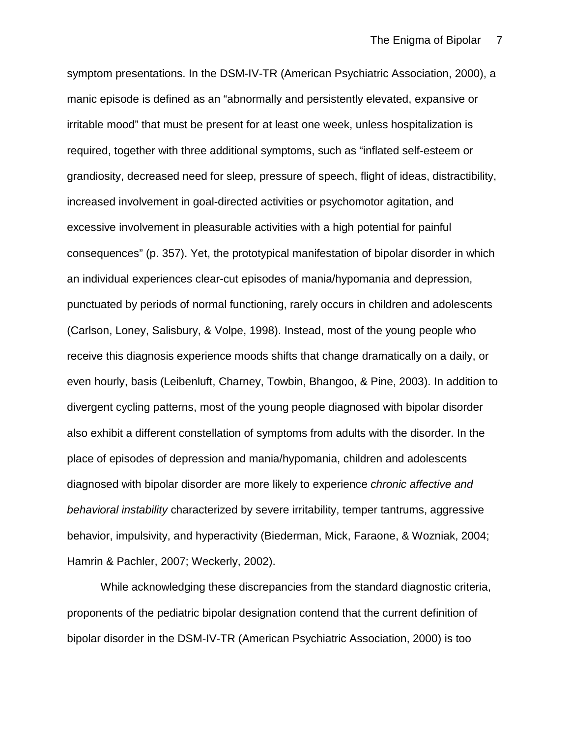symptom presentations. In the DSM-IV-TR (American Psychiatric Association, 2000), a manic episode is defined as an "abnormally and persistently elevated, expansive or irritable mood" that must be present for at least one week, unless hospitalization is required, together with three additional symptoms, such as "inflated self-esteem or grandiosity, decreased need for sleep, pressure of speech, flight of ideas, distractibility, increased involvement in goal-directed activities or psychomotor agitation, and excessive involvement in pleasurable activities with a high potential for painful consequences" (p. 357). Yet, the prototypical manifestation of bipolar disorder in which an individual experiences clear-cut episodes of mania/hypomania and depression, punctuated by periods of normal functioning, rarely occurs in children and adolescents (Carlson, Loney, Salisbury, & Volpe, 1998). Instead, most of the young people who receive this diagnosis experience moods shifts that change dramatically on a daily, or even hourly, basis (Leibenluft, Charney, Towbin, Bhangoo, & Pine, 2003). In addition to divergent cycling patterns, most of the young people diagnosed with bipolar disorder also exhibit a different constellation of symptoms from adults with the disorder. In the place of episodes of depression and mania/hypomania, children and adolescents diagnosed with bipolar disorder are more likely to experience *chronic affective and behavioral instability* characterized by severe irritability, temper tantrums, aggressive behavior, impulsivity, and hyperactivity (Biederman, Mick, Faraone, & Wozniak, 2004; Hamrin & Pachler, 2007; Weckerly, 2002).

While acknowledging these discrepancies from the standard diagnostic criteria, proponents of the pediatric bipolar designation contend that the current definition of bipolar disorder in the DSM-IV-TR (American Psychiatric Association, 2000) is too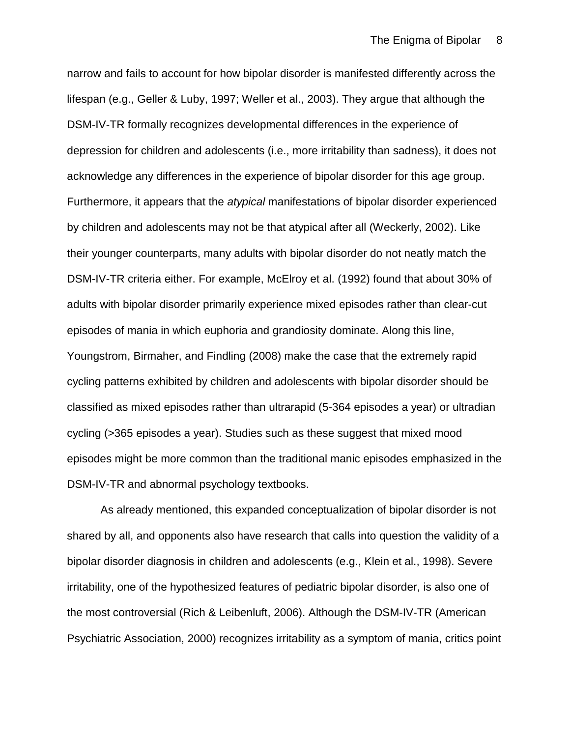narrow and fails to account for how bipolar disorder is manifested differently across the lifespan (e.g., Geller & Luby, 1997; Weller et al., 2003). They argue that although the DSM-IV-TR formally recognizes developmental differences in the experience of depression for children and adolescents (i.e., more irritability than sadness), it does not acknowledge any differences in the experience of bipolar disorder for this age group. Furthermore, it appears that the *atypical* manifestations of bipolar disorder experienced by children and adolescents may not be that atypical after all (Weckerly, 2002). Like their younger counterparts, many adults with bipolar disorder do not neatly match the DSM-IV-TR criteria either. For example, McElroy et al. (1992) found that about 30% of adults with bipolar disorder primarily experience mixed episodes rather than clear-cut episodes of mania in which euphoria and grandiosity dominate. Along this line, Youngstrom, Birmaher, and Findling (2008) make the case that the extremely rapid cycling patterns exhibited by children and adolescents with bipolar disorder should be classified as mixed episodes rather than ultrarapid (5-364 episodes a year) or ultradian cycling (>365 episodes a year). Studies such as these suggest that mixed mood episodes might be more common than the traditional manic episodes emphasized in the DSM-IV-TR and abnormal psychology textbooks.

As already mentioned, this expanded conceptualization of bipolar disorder is not shared by all, and opponents also have research that calls into question the validity of a bipolar disorder diagnosis in children and adolescents (e.g., Klein et al., 1998). Severe irritability, one of the hypothesized features of pediatric bipolar disorder, is also one of the most controversial (Rich & Leibenluft, 2006). Although the DSM-IV-TR (American Psychiatric Association, 2000) recognizes irritability as a symptom of mania, critics point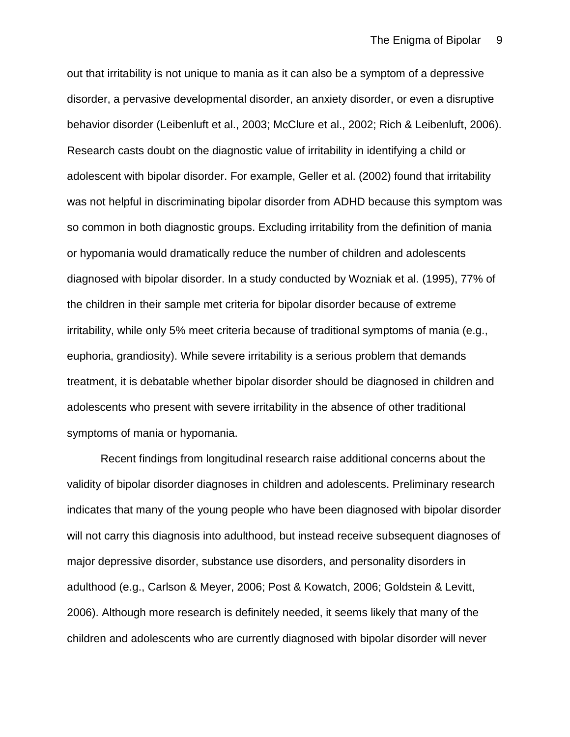out that irritability is not unique to mania as it can also be a symptom of a depressive disorder, a pervasive developmental disorder, an anxiety disorder, or even a disruptive behavior disorder (Leibenluft et al., 2003; McClure et al., 2002; Rich & Leibenluft, 2006). Research casts doubt on the diagnostic value of irritability in identifying a child or adolescent with bipolar disorder. For example, Geller et al. (2002) found that irritability was not helpful in discriminating bipolar disorder from ADHD because this symptom was so common in both diagnostic groups. Excluding irritability from the definition of mania or hypomania would dramatically reduce the number of children and adolescents diagnosed with bipolar disorder. In a study conducted by Wozniak et al. (1995), 77% of the children in their sample met criteria for bipolar disorder because of extreme irritability, while only 5% meet criteria because of traditional symptoms of mania (e.g., euphoria, grandiosity). While severe irritability is a serious problem that demands treatment, it is debatable whether bipolar disorder should be diagnosed in children and adolescents who present with severe irritability in the absence of other traditional symptoms of mania or hypomania.

Recent findings from longitudinal research raise additional concerns about the validity of bipolar disorder diagnoses in children and adolescents. Preliminary research indicates that many of the young people who have been diagnosed with bipolar disorder will not carry this diagnosis into adulthood, but instead receive subsequent diagnoses of major depressive disorder, substance use disorders, and personality disorders in adulthood (e.g., Carlson & Meyer, 2006; Post & Kowatch, 2006; Goldstein & Levitt, 2006). Although more research is definitely needed, it seems likely that many of the children and adolescents who are currently diagnosed with bipolar disorder will never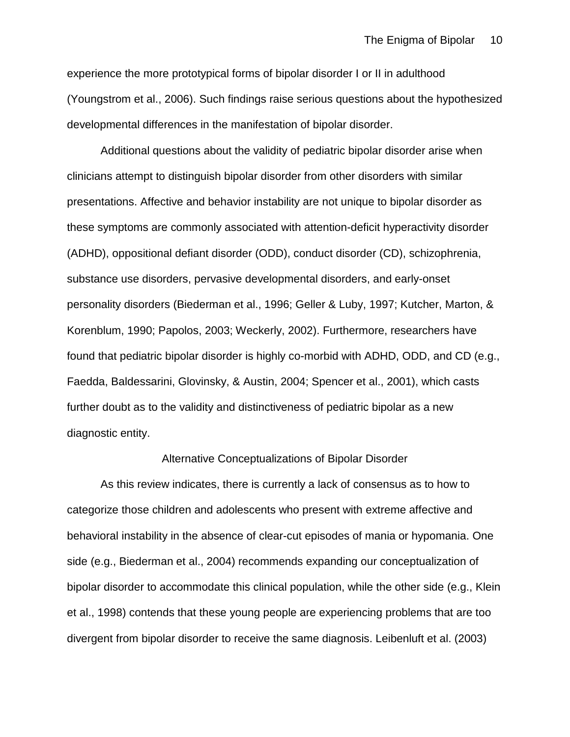experience the more prototypical forms of bipolar disorder I or II in adulthood (Youngstrom et al., 2006). Such findings raise serious questions about the hypothesized developmental differences in the manifestation of bipolar disorder.

Additional questions about the validity of pediatric bipolar disorder arise when clinicians attempt to distinguish bipolar disorder from other disorders with similar presentations. Affective and behavior instability are not unique to bipolar disorder as these symptoms are commonly associated with attention-deficit hyperactivity disorder (ADHD), oppositional defiant disorder (ODD), conduct disorder (CD), schizophrenia, substance use disorders, pervasive developmental disorders, and early-onset personality disorders (Biederman et al., 1996; Geller & Luby, 1997; Kutcher, Marton, & Korenblum, 1990; Papolos, 2003; Weckerly, 2002). Furthermore, researchers have found that pediatric bipolar disorder is highly co-morbid with ADHD, ODD, and CD (e.g., Faedda, Baldessarini, Glovinsky, & Austin, 2004; Spencer et al., 2001), which casts further doubt as to the validity and distinctiveness of pediatric bipolar as a new diagnostic entity.

### Alternative Conceptualizations of Bipolar Disorder

As this review indicates, there is currently a lack of consensus as to how to categorize those children and adolescents who present with extreme affective and behavioral instability in the absence of clear-cut episodes of mania or hypomania. One side (e.g., Biederman et al., 2004) recommends expanding our conceptualization of bipolar disorder to accommodate this clinical population, while the other side (e.g., Klein et al., 1998) contends that these young people are experiencing problems that are too divergent from bipolar disorder to receive the same diagnosis. Leibenluft et al. (2003)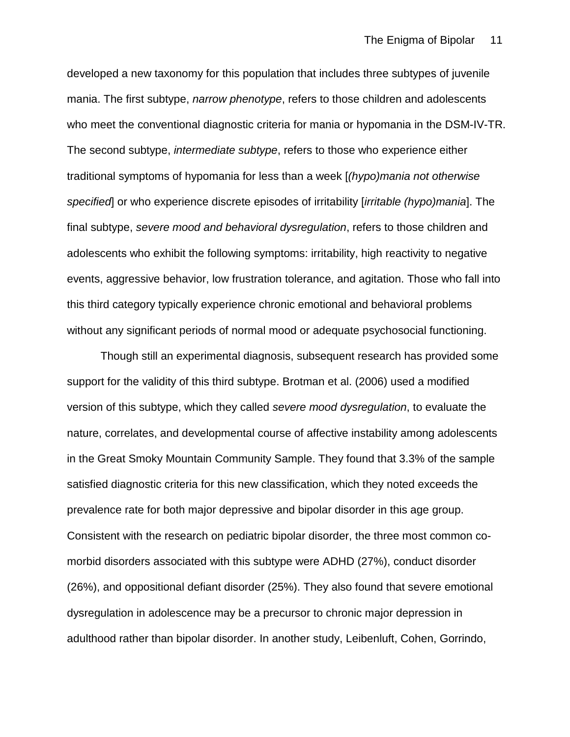developed a new taxonomy for this population that includes three subtypes of juvenile mania. The first subtype, *narrow phenotype*, refers to those children and adolescents who meet the conventional diagnostic criteria for mania or hypomania in the DSM-IV-TR. The second subtype, *intermediate subtype*, refers to those who experience either traditional symptoms of hypomania for less than a week [*(hypo)mania not otherwise specified*] or who experience discrete episodes of irritability [*irritable (hypo)mania*]. The final subtype, *severe mood and behavioral dysregulation*, refers to those children and adolescents who exhibit the following symptoms: irritability, high reactivity to negative events, aggressive behavior, low frustration tolerance, and agitation. Those who fall into this third category typically experience chronic emotional and behavioral problems without any significant periods of normal mood or adequate psychosocial functioning.

Though still an experimental diagnosis, subsequent research has provided some support for the validity of this third subtype. Brotman et al. (2006) used a modified version of this subtype, which they called *severe mood dysregulation*, to evaluate the nature, correlates, and developmental course of affective instability among adolescents in the Great Smoky Mountain Community Sample. They found that 3.3% of the sample satisfied diagnostic criteria for this new classification, which they noted exceeds the prevalence rate for both major depressive and bipolar disorder in this age group. Consistent with the research on pediatric bipolar disorder, the three most common comorbid disorders associated with this subtype were ADHD (27%), conduct disorder (26%), and oppositional defiant disorder (25%). They also found that severe emotional dysregulation in adolescence may be a precursor to chronic major depression in adulthood rather than bipolar disorder. In another study, Leibenluft, Cohen, Gorrindo,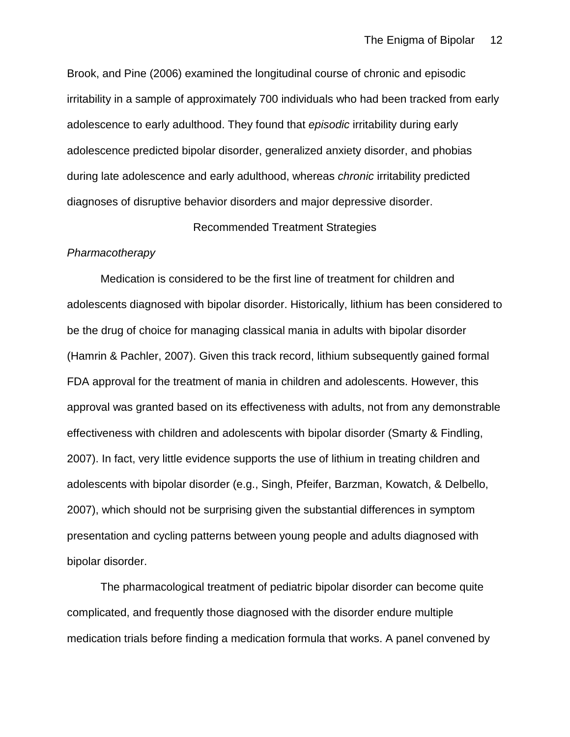Brook, and Pine (2006) examined the longitudinal course of chronic and episodic irritability in a sample of approximately 700 individuals who had been tracked from early adolescence to early adulthood. They found that *episodic* irritability during early adolescence predicted bipolar disorder, generalized anxiety disorder, and phobias during late adolescence and early adulthood, whereas *chronic* irritability predicted diagnoses of disruptive behavior disorders and major depressive disorder.

### Recommended Treatment Strategies

### *Pharmacotherapy*

Medication is considered to be the first line of treatment for children and adolescents diagnosed with bipolar disorder. Historically, lithium has been considered to be the drug of choice for managing classical mania in adults with bipolar disorder (Hamrin & Pachler, 2007). Given this track record, lithium subsequently gained formal FDA approval for the treatment of mania in children and adolescents. However, this approval was granted based on its effectiveness with adults, not from any demonstrable effectiveness with children and adolescents with bipolar disorder (Smarty & Findling, 2007). In fact, very little evidence supports the use of lithium in treating children and adolescents with bipolar disorder (e.g., Singh, Pfeifer, Barzman, Kowatch, & Delbello, 2007), which should not be surprising given the substantial differences in symptom presentation and cycling patterns between young people and adults diagnosed with bipolar disorder.

The pharmacological treatment of pediatric bipolar disorder can become quite complicated, and frequently those diagnosed with the disorder endure multiple medication trials before finding a medication formula that works. A panel convened by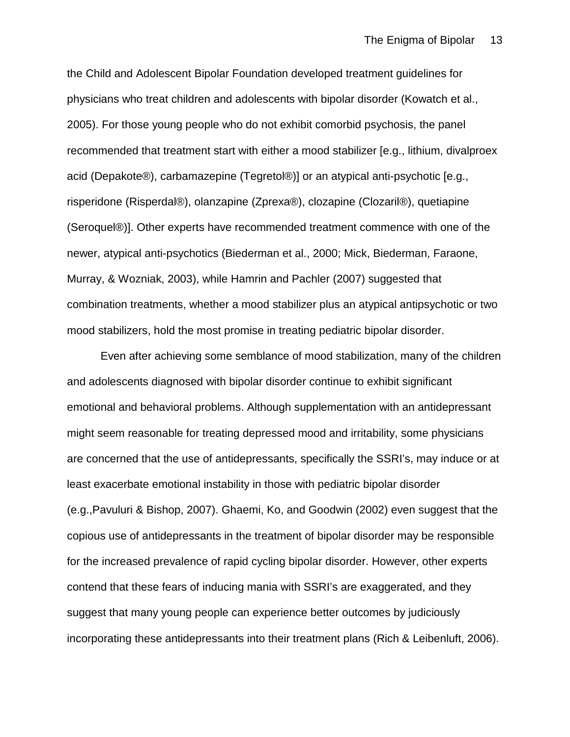the Child and Adolescent Bipolar Foundation developed treatment guidelines for physicians who treat children and adolescents with bipolar disorder (Kowatch et al., 2005). For those young people who do not exhibit comorbid psychosis, the panel recommended that treatment start with either a mood stabilizer [e.g., lithium, divalproex acid (Depakote®), carbamazepine (Tegretol®)] or an atypical anti-psychotic [e.g., risperidone (Risperdal®), olanzapine (Zprexa®), clozapine (Clozaril®), quetiapine (Seroquel®)]. Other experts have recommended treatment commence with one of the newer, atypical anti-psychotics (Biederman et al., 2000; Mick, Biederman, Faraone, Murray, & Wozniak, 2003), while Hamrin and Pachler (2007) suggested that combination treatments, whether a mood stabilizer plus an atypical antipsychotic or two mood stabilizers, hold the most promise in treating pediatric bipolar disorder.

Even after achieving some semblance of mood stabilization, many of the children and adolescents diagnosed with bipolar disorder continue to exhibit significant emotional and behavioral problems. Although supplementation with an antidepressant might seem reasonable for treating depressed mood and irritability, some physicians are concerned that the use of antidepressants, specifically the SSRI's, may induce or at least exacerbate emotional instability in those with pediatric bipolar disorder (e.g.,Pavuluri & Bishop, 2007). Ghaemi, Ko, and Goodwin (2002) even suggest that the copious use of antidepressants in the treatment of bipolar disorder may be responsible for the increased prevalence of rapid cycling bipolar disorder. However, other experts contend that these fears of inducing mania with SSRI's are exaggerated, and they suggest that many young people can experience better outcomes by judiciously incorporating these antidepressants into their treatment plans (Rich & Leibenluft, 2006).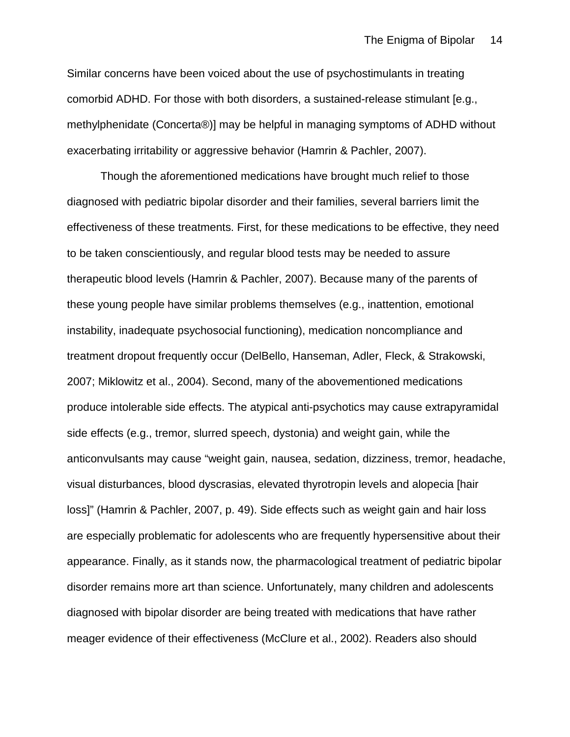Similar concerns have been voiced about the use of psychostimulants in treating comorbid ADHD. For those with both disorders, a sustained-release stimulant [e.g., methylphenidate (Concerta®)] may be helpful in managing symptoms of ADHD without exacerbating irritability or aggressive behavior (Hamrin & Pachler, 2007).

Though the aforementioned medications have brought much relief to those diagnosed with pediatric bipolar disorder and their families, several barriers limit the effectiveness of these treatments. First, for these medications to be effective, they need to be taken conscientiously, and regular blood tests may be needed to assure therapeutic blood levels (Hamrin & Pachler, 2007). Because many of the parents of these young people have similar problems themselves (e.g., inattention, emotional instability, inadequate psychosocial functioning), medication noncompliance and treatment dropout frequently occur (DelBello, Hanseman, Adler, Fleck, & Strakowski, 2007; Miklowitz et al., 2004). Second, many of the abovementioned medications produce intolerable side effects. The atypical anti-psychotics may cause extrapyramidal side effects (e.g., tremor, slurred speech, dystonia) and weight gain, while the anticonvulsants may cause "weight gain, nausea, sedation, dizziness, tremor, headache, visual disturbances, blood dyscrasias, elevated thyrotropin levels and alopecia [hair loss]" (Hamrin & Pachler, 2007, p. 49). Side effects such as weight gain and hair loss are especially problematic for adolescents who are frequently hypersensitive about their appearance. Finally, as it stands now, the pharmacological treatment of pediatric bipolar disorder remains more art than science. Unfortunately, many children and adolescents diagnosed with bipolar disorder are being treated with medications that have rather meager evidence of their effectiveness (McClure et al., 2002). Readers also should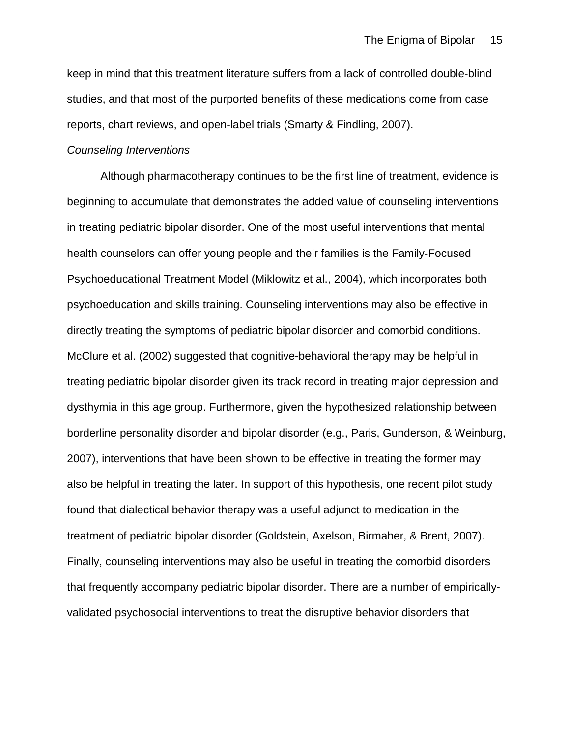keep in mind that this treatment literature suffers from a lack of controlled double-blind studies, and that most of the purported benefits of these medications come from case reports, chart reviews, and open-label trials (Smarty & Findling, 2007).

## *Counseling Interventions*

Although pharmacotherapy continues to be the first line of treatment, evidence is beginning to accumulate that demonstrates the added value of counseling interventions in treating pediatric bipolar disorder. One of the most useful interventions that mental health counselors can offer young people and their families is the Family-Focused Psychoeducational Treatment Model (Miklowitz et al., 2004), which incorporates both psychoeducation and skills training. Counseling interventions may also be effective in directly treating the symptoms of pediatric bipolar disorder and comorbid conditions. McClure et al. (2002) suggested that cognitive-behavioral therapy may be helpful in treating pediatric bipolar disorder given its track record in treating major depression and dysthymia in this age group. Furthermore, given the hypothesized relationship between borderline personality disorder and bipolar disorder (e.g., Paris, Gunderson, & Weinburg, 2007), interventions that have been shown to be effective in treating the former may also be helpful in treating the later. In support of this hypothesis, one recent pilot study found that dialectical behavior therapy was a useful adjunct to medication in the treatment of pediatric bipolar disorder (Goldstein, Axelson, Birmaher, & Brent, 2007). Finally, counseling interventions may also be useful in treating the comorbid disorders that frequently accompany pediatric bipolar disorder. There are a number of empiricallyvalidated psychosocial interventions to treat the disruptive behavior disorders that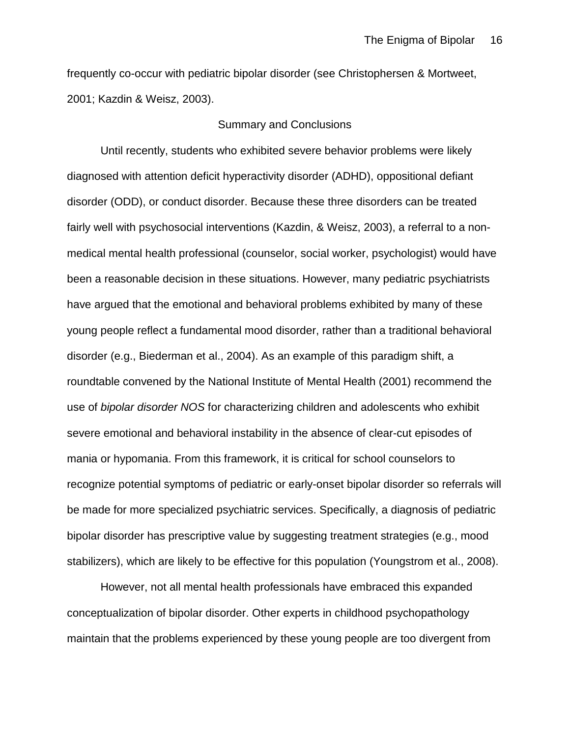frequently co-occur with pediatric bipolar disorder (see Christophersen & Mortweet, 2001; Kazdin & Weisz, 2003).

# Summary and Conclusions

Until recently, students who exhibited severe behavior problems were likely diagnosed with attention deficit hyperactivity disorder (ADHD), oppositional defiant disorder (ODD), or conduct disorder. Because these three disorders can be treated fairly well with psychosocial interventions (Kazdin, & Weisz, 2003), a referral to a nonmedical mental health professional (counselor, social worker, psychologist) would have been a reasonable decision in these situations. However, many pediatric psychiatrists have argued that the emotional and behavioral problems exhibited by many of these young people reflect a fundamental mood disorder, rather than a traditional behavioral disorder (e.g., Biederman et al., 2004). As an example of this paradigm shift, a roundtable convened by the National Institute of Mental Health (2001) recommend the use of *bipolar disorder NOS* for characterizing children and adolescents who exhibit severe emotional and behavioral instability in the absence of clear-cut episodes of mania or hypomania. From this framework, it is critical for school counselors to recognize potential symptoms of pediatric or early-onset bipolar disorder so referrals will be made for more specialized psychiatric services. Specifically, a diagnosis of pediatric bipolar disorder has prescriptive value by suggesting treatment strategies (e.g., mood stabilizers), which are likely to be effective for this population (Youngstrom et al., 2008).

However, not all mental health professionals have embraced this expanded conceptualization of bipolar disorder. Other experts in childhood psychopathology maintain that the problems experienced by these young people are too divergent from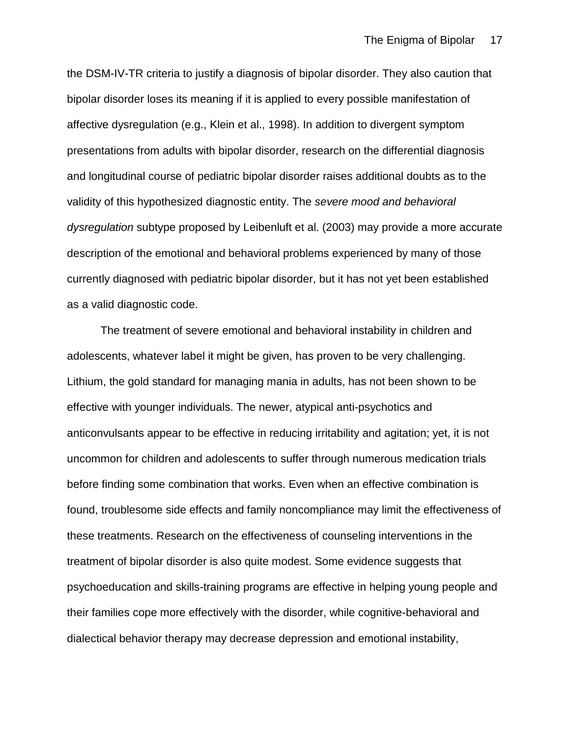the DSM-IV-TR criteria to justify a diagnosis of bipolar disorder. They also caution that bipolar disorder loses its meaning if it is applied to every possible manifestation of affective dysregulation (e.g., Klein et al., 1998). In addition to divergent symptom presentations from adults with bipolar disorder, research on the differential diagnosis and longitudinal course of pediatric bipolar disorder raises additional doubts as to the validity of this hypothesized diagnostic entity. The *severe mood and behavioral dysregulation* subtype proposed by Leibenluft et al. (2003) may provide a more accurate description of the emotional and behavioral problems experienced by many of those currently diagnosed with pediatric bipolar disorder, but it has not yet been established as a valid diagnostic code.

The treatment of severe emotional and behavioral instability in children and adolescents, whatever label it might be given, has proven to be very challenging. Lithium, the gold standard for managing mania in adults, has not been shown to be effective with younger individuals. The newer, atypical anti-psychotics and anticonvulsants appear to be effective in reducing irritability and agitation; yet, it is not uncommon for children and adolescents to suffer through numerous medication trials before finding some combination that works. Even when an effective combination is found, troublesome side effects and family noncompliance may limit the effectiveness of these treatments. Research on the effectiveness of counseling interventions in the treatment of bipolar disorder is also quite modest. Some evidence suggests that psychoeducation and skills-training programs are effective in helping young people and their families cope more effectively with the disorder, while cognitive-behavioral and dialectical behavior therapy may decrease depression and emotional instability,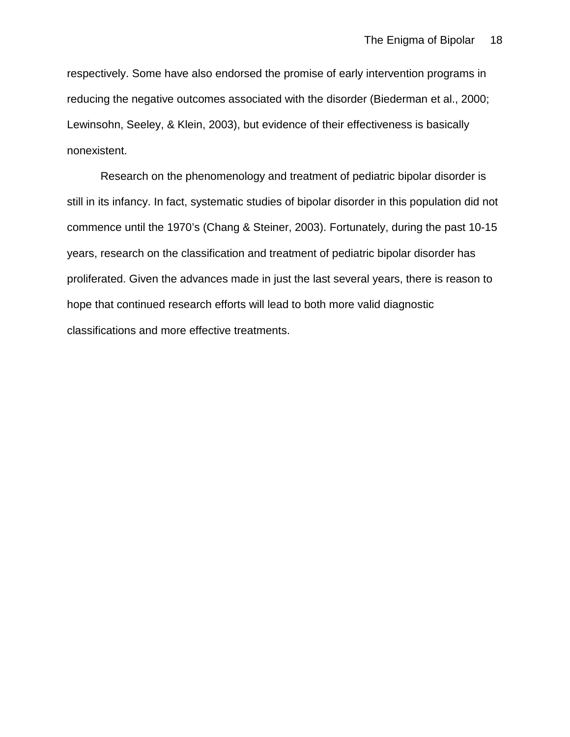respectively. Some have also endorsed the promise of early intervention programs in reducing the negative outcomes associated with the disorder (Biederman et al., 2000; Lewinsohn, Seeley, & Klein, 2003), but evidence of their effectiveness is basically nonexistent.

Research on the phenomenology and treatment of pediatric bipolar disorder is still in its infancy. In fact, systematic studies of bipolar disorder in this population did not commence until the 1970's (Chang & Steiner, 2003). Fortunately, during the past 10-15 years, research on the classification and treatment of pediatric bipolar disorder has proliferated. Given the advances made in just the last several years, there is reason to hope that continued research efforts will lead to both more valid diagnostic classifications and more effective treatments.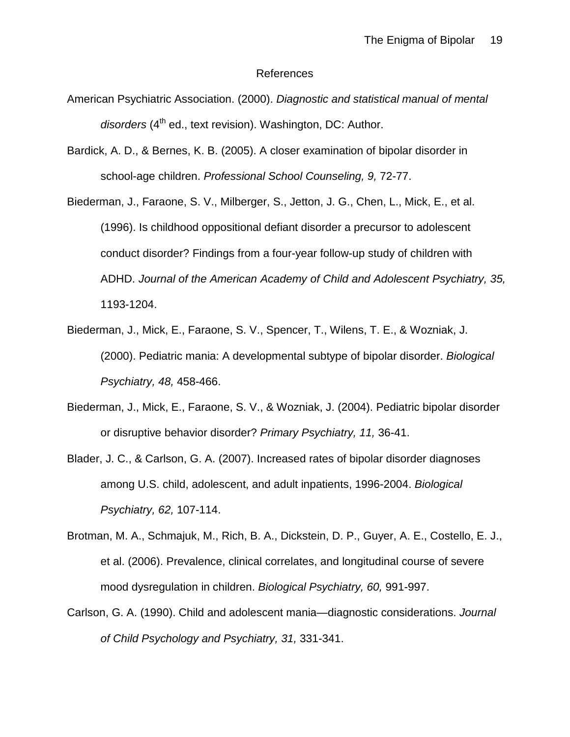#### References

- American Psychiatric Association. (2000). *Diagnostic and statistical manual of mental disorders* (4th ed., text revision). Washington, DC: Author.
- Bardick, A. D., & Bernes, K. B. (2005). A closer examination of bipolar disorder in school-age children. *Professional School Counseling, 9,* 72-77.
- Biederman, J., Faraone, S. V., Milberger, S., Jetton, J. G., Chen, L., Mick, E., et al. (1996). Is childhood oppositional defiant disorder a precursor to adolescent conduct disorder? Findings from a four-year follow-up study of children with ADHD. *Journal of the American Academy of Child and Adolescent Psychiatry, 35,*  1193-1204.
- Biederman, J., Mick, E., Faraone, S. V., Spencer, T., Wilens, T. E., & Wozniak, J. (2000). Pediatric mania: A developmental subtype of bipolar disorder. *Biological Psychiatry, 48,* 458-466.
- Biederman, J., Mick, E., Faraone, S. V., & Wozniak, J. (2004). Pediatric bipolar disorder or disruptive behavior disorder? *Primary Psychiatry, 11,* 36-41.
- Blader, J. C., & Carlson, G. A. (2007). Increased rates of bipolar disorder diagnoses among U.S. child, adolescent, and adult inpatients, 1996-2004. *Biological Psychiatry, 62,* 107-114.
- Brotman, M. A., Schmajuk, M., Rich, B. A., Dickstein, D. P., Guyer, A. E., Costello, E. J., et al. (2006). Prevalence, clinical correlates, and longitudinal course of severe mood dysregulation in children. *Biological Psychiatry, 60,* 991-997.
- Carlson, G. A. (1990). Child and adolescent mania—diagnostic considerations. *Journal of Child Psychology and Psychiatry, 31,* 331-341.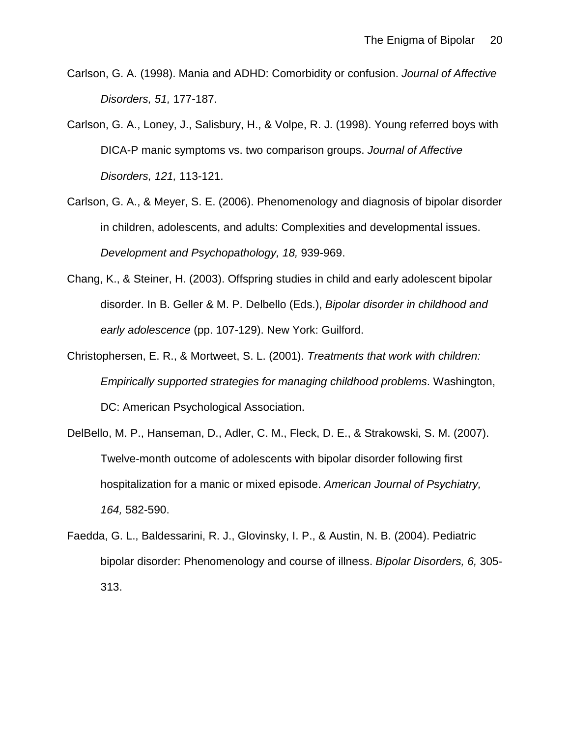- Carlson, G. A. (1998). Mania and ADHD: Comorbidity or confusion. *Journal of Affective Disorders, 51,* 177-187.
- Carlson, G. A., Loney, J., Salisbury, H., & Volpe, R. J. (1998). Young referred boys with DICA-P manic symptoms vs. two comparison groups. *Journal of Affective Disorders, 121,* 113-121.
- Carlson, G. A., & Meyer, S. E. (2006). Phenomenology and diagnosis of bipolar disorder in children, adolescents, and adults: Complexities and developmental issues. *Development and Psychopathology, 18,* 939-969.
- Chang, K., & Steiner, H. (2003). Offspring studies in child and early adolescent bipolar disorder. In B. Geller & M. P. Delbello (Eds.), *Bipolar disorder in childhood and early adolescence* (pp. 107-129). New York: Guilford.
- Christophersen, E. R., & Mortweet, S. L. (2001). *Treatments that work with children: Empirically supported strategies for managing childhood problems*. Washington, DC: American Psychological Association.
- DelBello, M. P., Hanseman, D., Adler, C. M., Fleck, D. E., & Strakowski, S. M. (2007). Twelve-month outcome of adolescents with bipolar disorder following first hospitalization for a manic or mixed episode. *American Journal of Psychiatry, 164,* 582-590.
- Faedda, G. L., Baldessarini, R. J., Glovinsky, I. P., & Austin, N. B. (2004). Pediatric bipolar disorder: Phenomenology and course of illness. *Bipolar Disorders, 6,* 305- 313.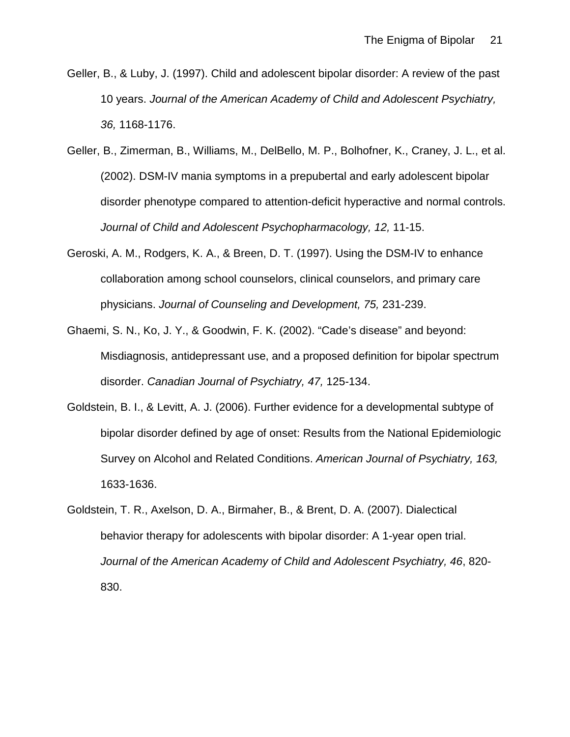- Geller, B., & Luby, J. (1997). Child and adolescent bipolar disorder: A review of the past 10 years. *Journal of the American Academy of Child and Adolescent Psychiatry, 36,* 1168-1176.
- Geller, B., Zimerman, B., Williams, M., DelBello, M. P., Bolhofner, K., Craney, J. L., et al. (2002). DSM-IV mania symptoms in a prepubertal and early adolescent bipolar disorder phenotype compared to attention-deficit hyperactive and normal controls. *Journal of Child and Adolescent Psychopharmacology, 12,* 11-15.
- Geroski, A. M., Rodgers, K. A., & Breen, D. T. (1997). Using the DSM-IV to enhance collaboration among school counselors, clinical counselors, and primary care physicians. *Journal of Counseling and Development, 75,* 231-239.
- Ghaemi, S. N., Ko, J. Y., & Goodwin, F. K. (2002). "Cade's disease" and beyond: Misdiagnosis, antidepressant use, and a proposed definition for bipolar spectrum disorder. *Canadian Journal of Psychiatry, 47,* 125-134.
- Goldstein, B. I., & Levitt, A. J. (2006). Further evidence for a developmental subtype of bipolar disorder defined by age of onset: Results from the National Epidemiologic Survey on Alcohol and Related Conditions. *American Journal of Psychiatry, 163,*  1633-1636.
- Goldstein, T. R., Axelson, D. A., Birmaher, B., & Brent, D. A. (2007). Dialectical behavior therapy for adolescents with bipolar disorder: A 1-year open trial. *Journal of the American Academy of Child and Adolescent Psychiatry, 46*, 820- 830.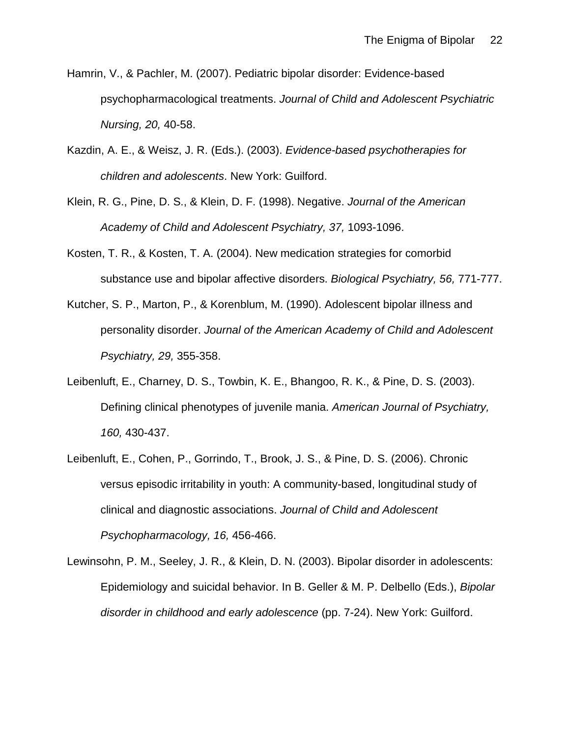- Hamrin, V., & Pachler, M. (2007). Pediatric bipolar disorder: Evidence-based psychopharmacological treatments. *Journal of Child and Adolescent Psychiatric Nursing, 20,* 40-58.
- Kazdin, A. E., & Weisz, J. R. (Eds.). (2003). *Evidence-based psychotherapies for children and adolescents*. New York: Guilford.
- Klein, R. G., Pine, D. S., & Klein, D. F. (1998). Negative. *Journal of the American Academy of Child and Adolescent Psychiatry, 37,* 1093-1096.
- Kosten, T. R., & Kosten, T. A. (2004). New medication strategies for comorbid substance use and bipolar affective disorders. *Biological Psychiatry, 56,* 771-777.
- Kutcher, S. P., Marton, P., & Korenblum, M. (1990). Adolescent bipolar illness and personality disorder. *Journal of the American Academy of Child and Adolescent Psychiatry, 29,* 355-358.
- Leibenluft, E., Charney, D. S., Towbin, K. E., Bhangoo, R. K., & Pine, D. S. (2003). Defining clinical phenotypes of juvenile mania. *American Journal of Psychiatry, 160,* 430-437.
- Leibenluft, E., Cohen, P., Gorrindo, T., Brook, J. S., & Pine, D. S. (2006). Chronic versus episodic irritability in youth: A community-based, longitudinal study of clinical and diagnostic associations. *Journal of Child and Adolescent Psychopharmacology, 16,* 456-466.
- Lewinsohn, P. M., Seeley, J. R., & Klein, D. N. (2003). Bipolar disorder in adolescents: Epidemiology and suicidal behavior. In B. Geller & M. P. Delbello (Eds.), *Bipolar disorder in childhood and early adolescence* (pp. 7-24). New York: Guilford.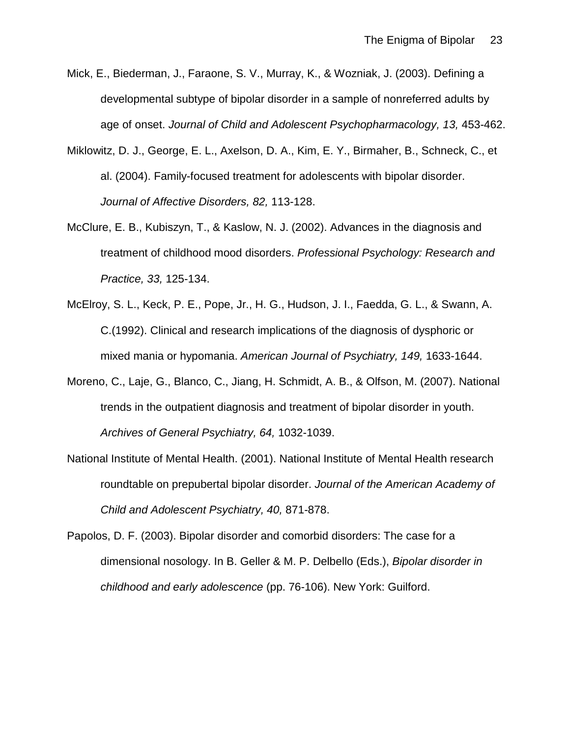- Mick, E., Biederman, J., Faraone, S. V., Murray, K., & Wozniak, J. (2003). Defining a developmental subtype of bipolar disorder in a sample of nonreferred adults by age of onset. *Journal of Child and Adolescent Psychopharmacology, 13,* 453-462.
- Miklowitz, D. J., George, E. L., Axelson, D. A., Kim, E. Y., Birmaher, B., Schneck, C., et al. (2004). Family-focused treatment for adolescents with bipolar disorder. *Journal of Affective Disorders, 82,* 113-128.
- McClure, E. B., Kubiszyn, T., & Kaslow, N. J. (2002). Advances in the diagnosis and treatment of childhood mood disorders. *Professional Psychology: Research and Practice, 33,* 125-134.
- McElroy, S. L., Keck, P. E., Pope, Jr., H. G., Hudson, J. I., Faedda, G. L., & Swann, A. C.(1992). Clinical and research implications of the diagnosis of dysphoric or mixed mania or hypomania. *American Journal of Psychiatry, 149,* 1633-1644.
- Moreno, C., Laje, G., Blanco, C., Jiang, H. Schmidt, A. B., & Olfson, M. (2007). National trends in the outpatient diagnosis and treatment of bipolar disorder in youth. *Archives of General Psychiatry, 64,* 1032-1039.
- National Institute of Mental Health. (2001). National Institute of Mental Health research roundtable on prepubertal bipolar disorder. *Journal of the American Academy of Child and Adolescent Psychiatry, 40,* 871-878.
- Papolos, D. F. (2003). Bipolar disorder and comorbid disorders: The case for a dimensional nosology. In B. Geller & M. P. Delbello (Eds.), *Bipolar disorder in childhood and early adolescence* (pp. 76-106). New York: Guilford.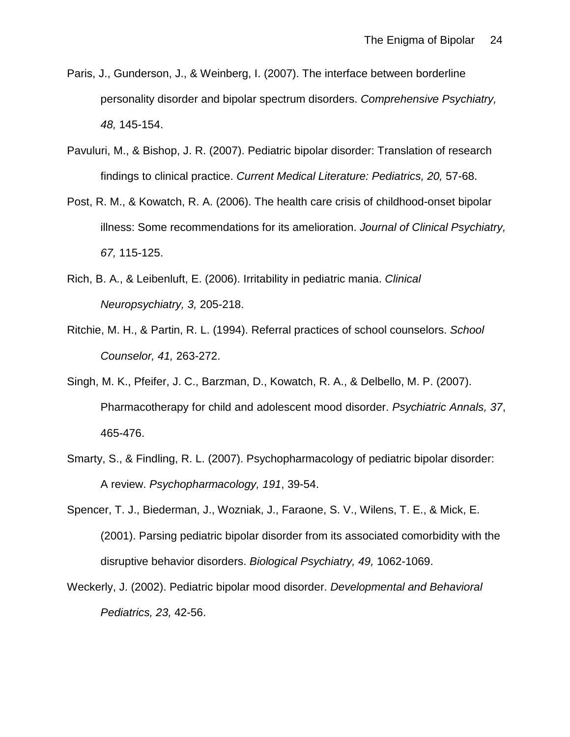- Paris, J., Gunderson, J., & Weinberg, I. (2007). The interface between borderline personality disorder and bipolar spectrum disorders. *Comprehensive Psychiatry, 48,* 145-154.
- Pavuluri, M., & Bishop, J. R. (2007). Pediatric bipolar disorder: Translation of research findings to clinical practice. *Current Medical Literature: Pediatrics, 20,* 57-68.
- Post, R. M., & Kowatch, R. A. (2006). The health care crisis of childhood-onset bipolar illness: Some recommendations for its amelioration. *Journal of Clinical Psychiatry, 67,* 115-125.
- Rich, B. A., & Leibenluft, E. (2006). Irritability in pediatric mania. *Clinical Neuropsychiatry, 3,* 205-218.
- Ritchie, M. H., & Partin, R. L. (1994). Referral practices of school counselors. *School Counselor, 41,* 263-272.
- Singh, M. K., Pfeifer, J. C., Barzman, D., Kowatch, R. A., & Delbello, M. P. (2007). Pharmacotherapy for child and adolescent mood disorder. *Psychiatric Annals, 37*, 465-476.
- Smarty, S., & Findling, R. L. (2007). Psychopharmacology of pediatric bipolar disorder: A review. *Psychopharmacology, 191*, 39-54.
- Spencer, T. J., Biederman, J., Wozniak, J., Faraone, S. V., Wilens, T. E., & Mick, E. (2001). Parsing pediatric bipolar disorder from its associated comorbidity with the disruptive behavior disorders. *Biological Psychiatry, 49,* 1062-1069.
- Weckerly, J. (2002). Pediatric bipolar mood disorder. *Developmental and Behavioral Pediatrics, 23,* 42-56.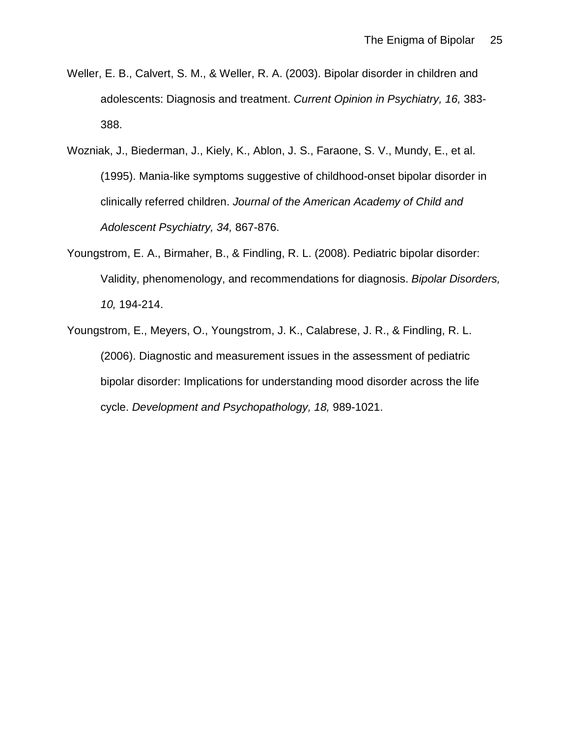- Weller, E. B., Calvert, S. M., & Weller, R. A. (2003). Bipolar disorder in children and adolescents: Diagnosis and treatment. *Current Opinion in Psychiatry, 16,* 383- 388.
- Wozniak, J., Biederman, J., Kiely, K., Ablon, J. S., Faraone, S. V., Mundy, E., et al. (1995). Mania-like symptoms suggestive of childhood-onset bipolar disorder in clinically referred children. *Journal of the American Academy of Child and Adolescent Psychiatry, 34,* 867-876.
- Youngstrom, E. A., Birmaher, B., & Findling, R. L. (2008). Pediatric bipolar disorder: Validity, phenomenology, and recommendations for diagnosis. *Bipolar Disorders, 10,* 194-214.
- Youngstrom, E., Meyers, O., Youngstrom, J. K., Calabrese, J. R., & Findling, R. L. (2006). Diagnostic and measurement issues in the assessment of pediatric bipolar disorder: Implications for understanding mood disorder across the life cycle. *Development and Psychopathology, 18,* 989-1021.